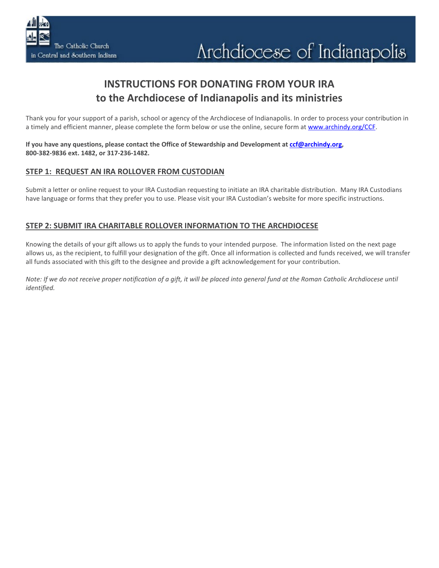# **INSTRUCTIONS FOR DONATING FROM YOUR IRA to the Archdiocese of Indianapolis and its ministries**

Thank you for your support of a parish, school or agency of the Archdiocese of Indianapolis. In order to process your contribution in a timely and efficient manner, please complete the form below or use the online, secure form a[t www.archindy.org/CCF.](http://www.archindy.org/CCF)

**If you have any questions, please contact the Office of Stewardship and Development at [ccf@archindy.org,](mailto:ccf@archindy.org) 800-382-9836 ext. 1482, or 317-236-1482.**

## **STEP 1: REQUEST AN IRA ROLLOVER FROM CUSTODIAN**

Submit a letter or online request to your IRA Custodian requesting to initiate an IRA charitable distribution. Many IRA Custodians have language or forms that they prefer you to use. Please visit your IRA Custodian's website for more specific instructions.

## **STEP 2: SUBMIT IRA CHARITABLE ROLLOVER INFORMATION TO THE ARCHDIOCESE**

Knowing the details of your gift allows us to apply the funds to your intended purpose. The information listed on the next page allows us, as the recipient, to fulfill your designation of the gift. Once all information is collected and funds received, we will transfer all funds associated with this gift to the designee and provide a gift acknowledgement for your contribution.

*Note: If we do not receive proper notification of a gift, it will be placed into general fund at the Roman Catholic Archdiocese until identified.*